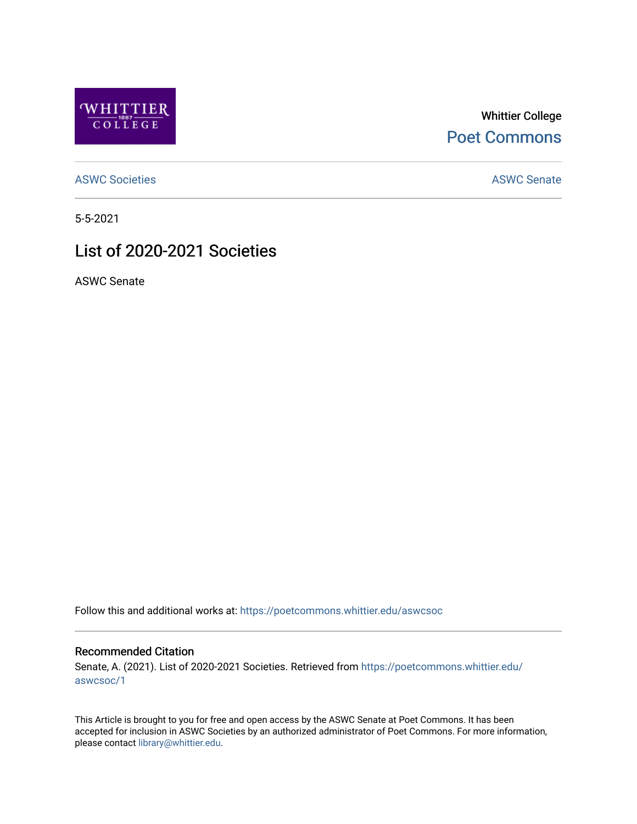

Whittier College [Poet Commons](https://poetcommons.whittier.edu/) 

[ASWC Societies](https://poetcommons.whittier.edu/aswcsoc) **ASWC Senate** 

5-5-2021

#### List of 2020-2021 Societies

ASWC Senate

Follow this and additional works at: [https://poetcommons.whittier.edu/aswcsoc](https://poetcommons.whittier.edu/aswcsoc?utm_source=poetcommons.whittier.edu%2Faswcsoc%2F1&utm_medium=PDF&utm_campaign=PDFCoverPages) 

#### Recommended Citation

Senate, A. (2021). List of 2020-2021 Societies. Retrieved from [https://poetcommons.whittier.edu/](https://poetcommons.whittier.edu/aswcsoc/1?utm_source=poetcommons.whittier.edu%2Faswcsoc%2F1&utm_medium=PDF&utm_campaign=PDFCoverPages) [aswcsoc/1](https://poetcommons.whittier.edu/aswcsoc/1?utm_source=poetcommons.whittier.edu%2Faswcsoc%2F1&utm_medium=PDF&utm_campaign=PDFCoverPages)

This Article is brought to you for free and open access by the ASWC Senate at Poet Commons. It has been accepted for inclusion in ASWC Societies by an authorized administrator of Poet Commons. For more information, please contact [library@whittier.edu](mailto:library@whittier.edu).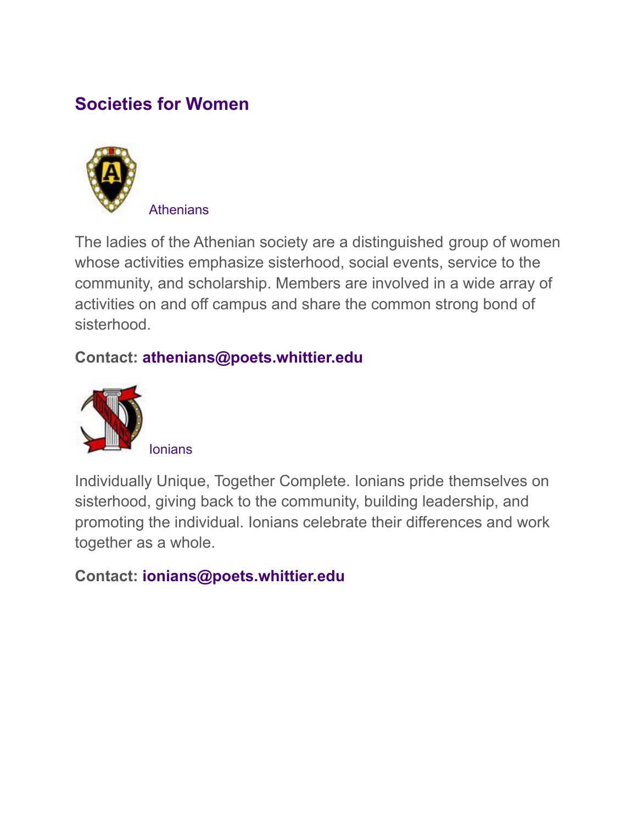# **Societies for Women**



The ladies of the Athenian society are a distinguished group of women whose activities emphasize sisterhood, social events, service to the community, and scholarship. Members are involved in a wide array of activities on and off campus and share the common strong bond of sisterhood.

#### **Contact: athenians@poets.whittier.edu**



Individually Unique, Together Complete. Ionians pride themselves on sisterhood, giving back to the community, building leadership, and promoting the individual. Ionians celebrate their differences and work together as a whole.

## **Contact: ionians@poets.whittier.edu**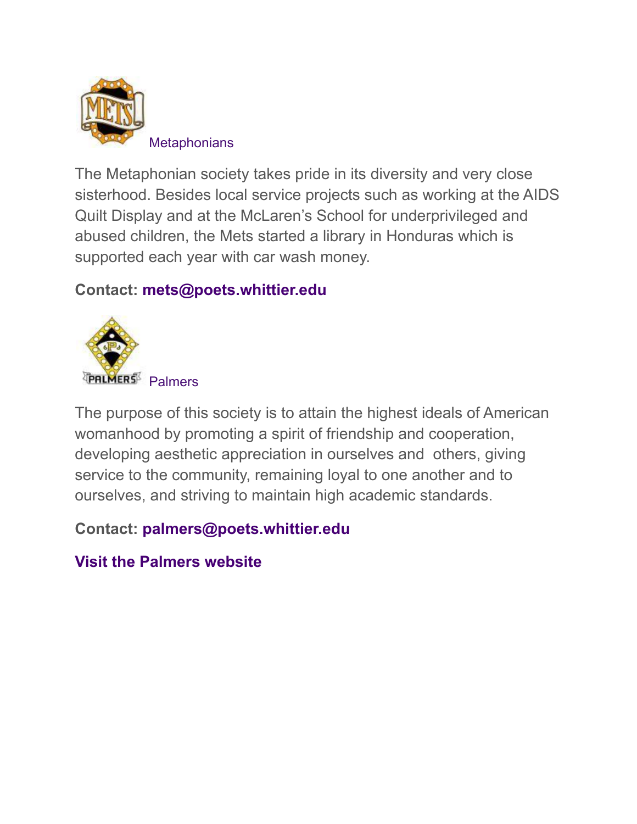

The Metaphonian society takes pride in its diversity and very close sisterhood. Besides local service projects such as working at the AIDS Quilt Display and at the McLaren's School for underprivileged and abused children, the Mets started a library in Honduras which is supported each year with car wash money.

#### **Contact: mets@poets.whittier.edu**



The purpose of this society is to attain the highest ideals of American womanhood by promoting a spirit of friendship and cooperation, developing aesthetic appreciation in ourselves and others, giving service to the community, remaining loyal to one another and to ourselves, and striving to maintain high academic standards.

**Contact: palmers@poets.whittier.edu**

**[Visit the Palmers website](https://www.thepalmersociety.org/)**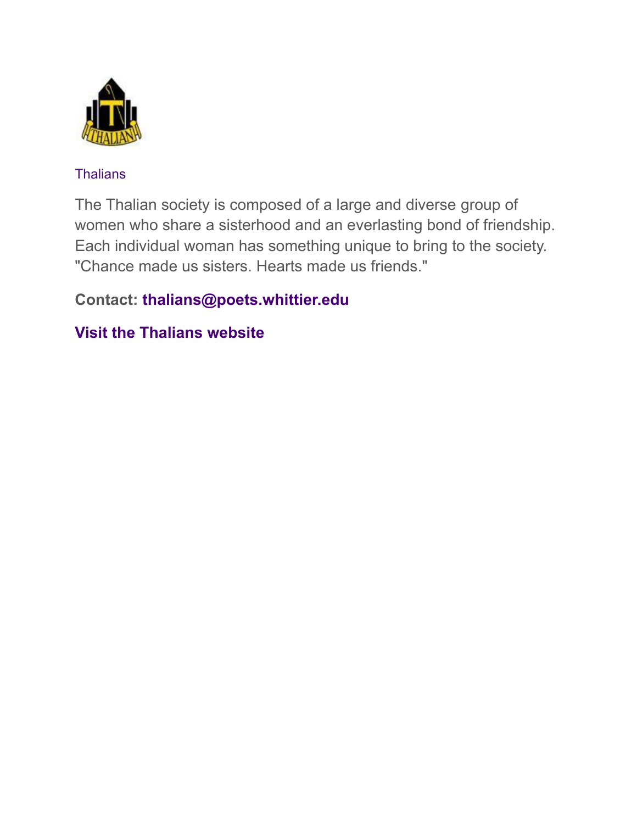

#### **Thalians**

The Thalian society is composed of a large and diverse group of women who share a sisterhood and an everlasting bond of friendship. Each individual woman has something unique to bring to the society. "Chance made us sisters. Hearts made us friends."

#### **Contact: thalians@poets.whittier.edu**

#### **[Visit the Thalians website](http://thaliansociety.wix.com/Thalians)**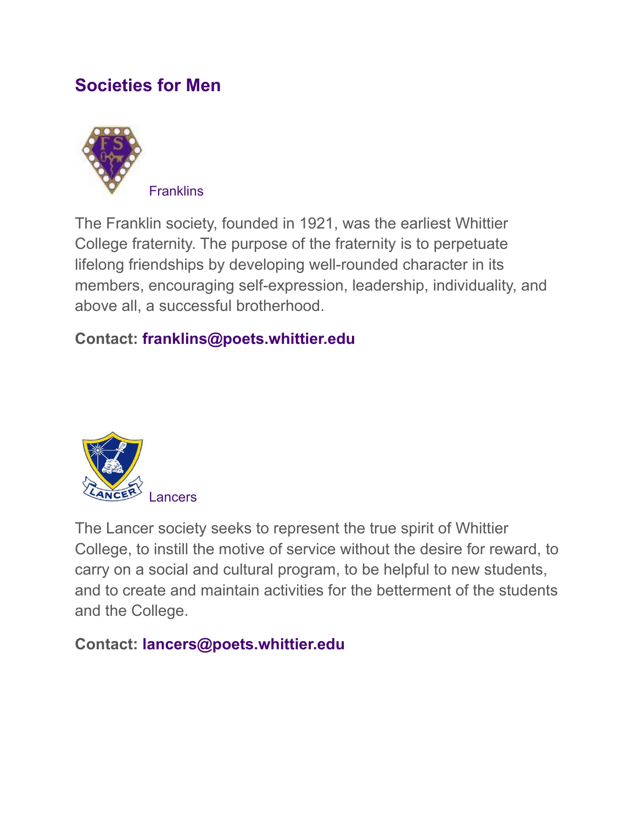## **Societies for Men**



The Franklin society, founded in 1921, was the earliest Whittier College fraternity. The purpose of the fraternity is to perpetuate lifelong friendships by developing well-rounded character in its members, encouraging self-expression, leadership, individuality, and above all, a successful brotherhood.

## **Contact: franklins@poets.whittier.edu**



The Lancer society seeks to represent the true spirit of Whittier College, to instill the motive of service without the desire for reward, to carry on a social and cultural program, to be helpful to new students, and to create and maintain activities for the betterment of the students and the College.

## **Contact: lancers@poets.whittier.edu**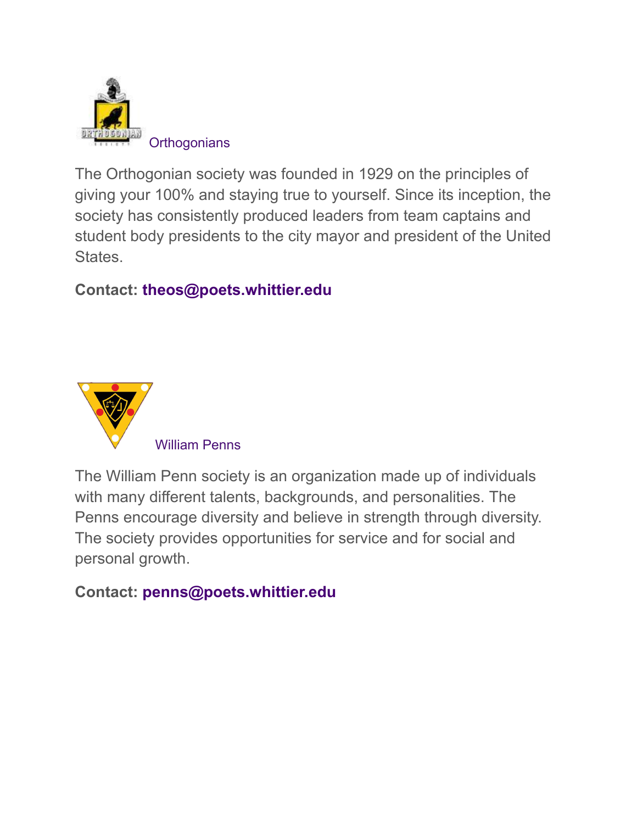

The Orthogonian society was founded in 1929 on the principles of giving your 100% and staying true to yourself. Since its inception, the society has consistently produced leaders from team captains and student body presidents to the city mayor and president of the United States.

#### **Contact: theos@poets.whittier.edu**



The William Penn society is an organization made up of individuals with many different talents, backgrounds, and personalities. The Penns encourage diversity and believe in strength through diversity. The society provides opportunities for service and for social and personal growth.

#### **Contact: penns@poets.whittier.edu**